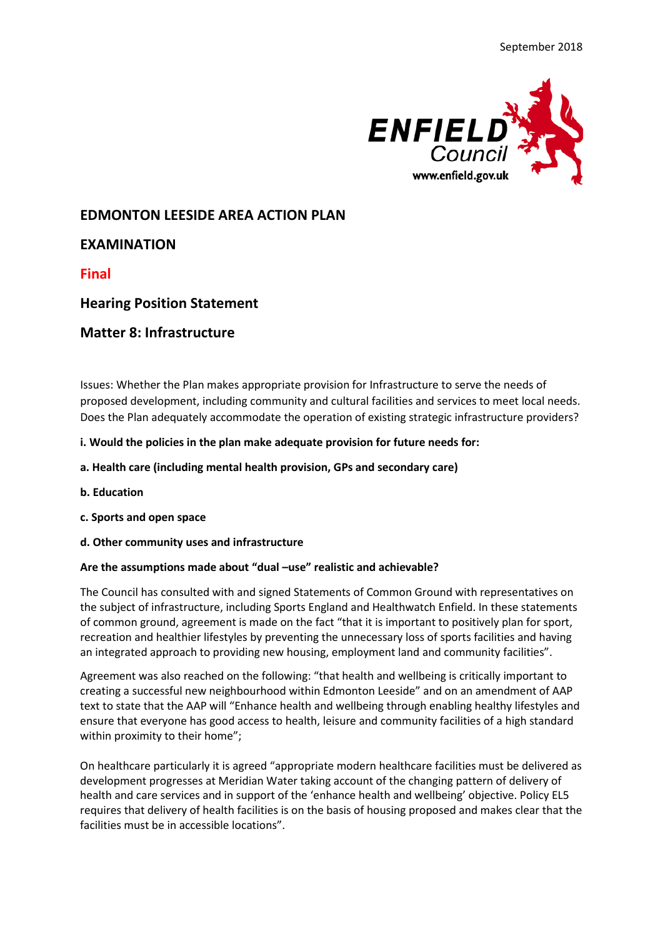

# **EDMONTON LEESIDE AREA ACTION PLAN**

# **EXAMINATION**

**Final** 

# **Hearing Position Statement**

## **Matter 8: Infrastructure**

Issues: Whether the Plan makes appropriate provision for Infrastructure to serve the needs of proposed development, including community and cultural facilities and services to meet local needs. Does the Plan adequately accommodate the operation of existing strategic infrastructure providers?

### **i. Would the policies in the plan make adequate provision for future needs for:**

### **a. Health care (including mental health provision, GPs and secondary care)**

- **b. Education**
- **c. Sports and open space**
- **d. Other community uses and infrastructure**

#### **Are the assumptions made about "dual –use" realistic and achievable?**

The Council has consulted with and signed Statements of Common Ground with representatives on the subject of infrastructure, including Sports England and Healthwatch Enfield. In these statements of common ground, agreement is made on the fact "that it is important to positively plan for sport, recreation and healthier lifestyles by preventing the unnecessary loss of sports facilities and having an integrated approach to providing new housing, employment land and community facilities".

Agreement was also reached on the following: "that health and wellbeing is critically important to creating a successful new neighbourhood within Edmonton Leeside" and on an amendment of AAP text to state that the AAP will "Enhance health and wellbeing through enabling healthy lifestyles and ensure that everyone has good access to health, leisure and community facilities of a high standard within proximity to their home";

On healthcare particularly it is agreed "appropriate modern healthcare facilities must be delivered as development progresses at Meridian Water taking account of the changing pattern of delivery of health and care services and in support of the 'enhance health and wellbeing' objective. Policy EL5 requires that delivery of health facilities is on the basis of housing proposed and makes clear that the facilities must be in accessible locations".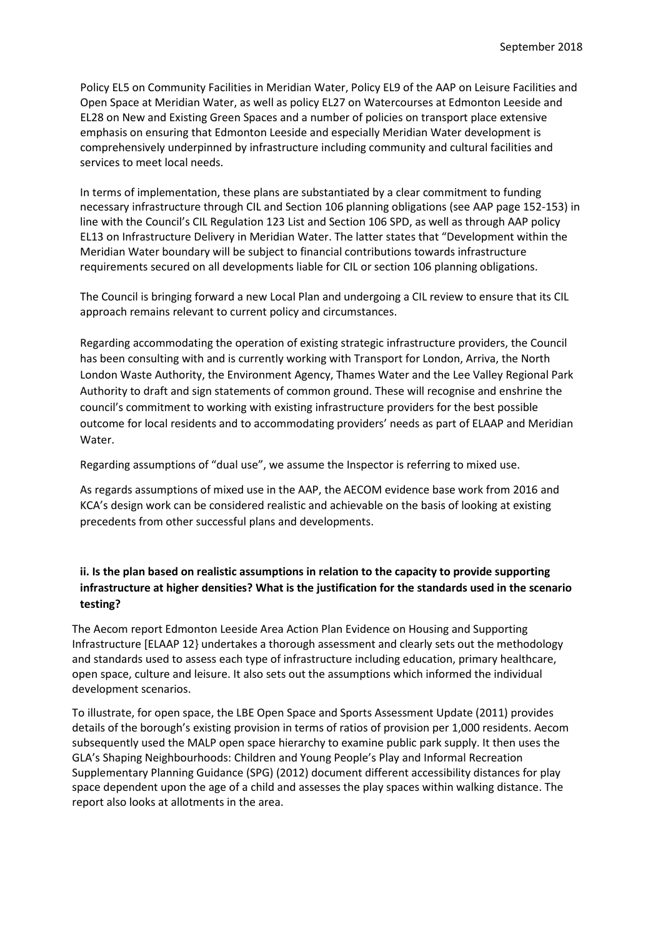Policy EL5 on Community Facilities in Meridian Water, Policy EL9 of the AAP on Leisure Facilities and Open Space at Meridian Water, as well as policy EL27 on Watercourses at Edmonton Leeside and EL28 on New and Existing Green Spaces and a number of policies on transport place extensive emphasis on ensuring that Edmonton Leeside and especially Meridian Water development is comprehensively underpinned by infrastructure including community and cultural facilities and services to meet local needs.

In terms of implementation, these plans are substantiated by a clear commitment to funding necessary infrastructure through CIL and Section 106 planning obligations (see AAP page 152-153) in line with the Council's CIL Regulation 123 List and Section 106 SPD, as well as through AAP policy EL13 on Infrastructure Delivery in Meridian Water. The latter states that "Development within the Meridian Water boundary will be subject to financial contributions towards infrastructure requirements secured on all developments liable for CIL or section 106 planning obligations.

The Council is bringing forward a new Local Plan and undergoing a CIL review to ensure that its CIL approach remains relevant to current policy and circumstances.

Regarding accommodating the operation of existing strategic infrastructure providers, the Council has been consulting with and is currently working with Transport for London, Arriva, the North London Waste Authority, the Environment Agency, Thames Water and the Lee Valley Regional Park Authority to draft and sign statements of common ground. These will recognise and enshrine the council's commitment to working with existing infrastructure providers for the best possible outcome for local residents and to accommodating providers' needs as part of ELAAP and Meridian Water.

Regarding assumptions of "dual use", we assume the Inspector is referring to mixed use.

As regards assumptions of mixed use in the AAP, the AECOM evidence base work from 2016 and KCA's design work can be considered realistic and achievable on the basis of looking at existing precedents from other successful plans and developments.

## **ii. Is the plan based on realistic assumptions in relation to the capacity to provide supporting infrastructure at higher densities? What is the justification for the standards used in the scenario testing?**

The Aecom report Edmonton Leeside Area Action Plan Evidence on Housing and Supporting Infrastructure [ELAAP 12} undertakes a thorough assessment and clearly sets out the methodology and standards used to assess each type of infrastructure including education, primary healthcare, open space, culture and leisure. It also sets out the assumptions which informed the individual development scenarios.

To illustrate, for open space, the LBE Open Space and Sports Assessment Update (2011) provides details of the borough's existing provision in terms of ratios of provision per 1,000 residents. Aecom subsequently used the MALP open space hierarchy to examine public park supply. It then uses the GLA's Shaping Neighbourhoods: Children and Young People's Play and Informal Recreation Supplementary Planning Guidance (SPG) (2012) document different accessibility distances for play space dependent upon the age of a child and assesses the play spaces within walking distance. The report also looks at allotments in the area.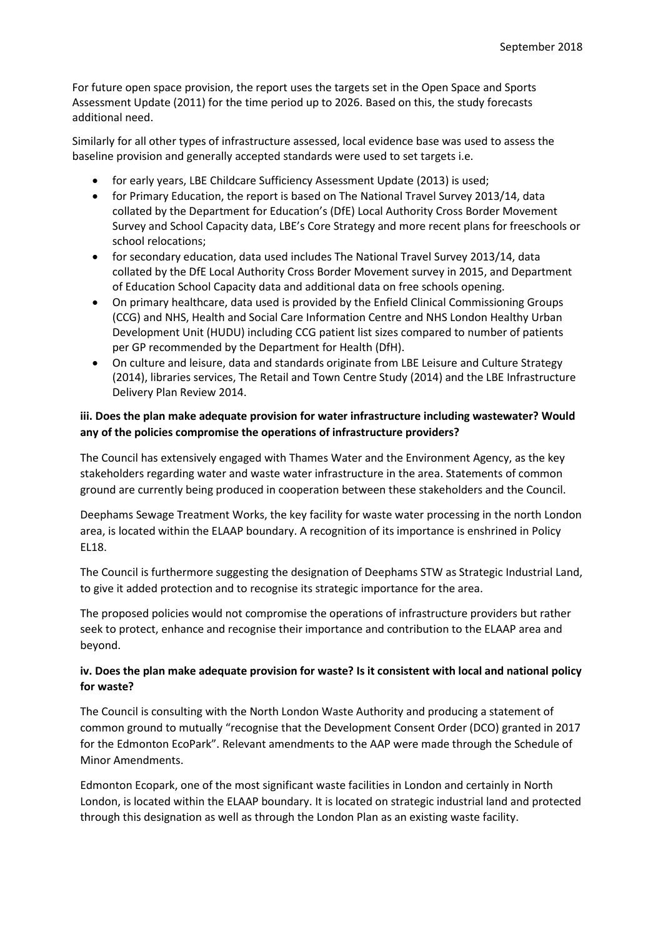For future open space provision, the report uses the targets set in the Open Space and Sports Assessment Update (2011) for the time period up to 2026. Based on this, the study forecasts additional need.

Similarly for all other types of infrastructure assessed, local evidence base was used to assess the baseline provision and generally accepted standards were used to set targets i.e.

- for early years, LBE Childcare Sufficiency Assessment Update (2013) is used;
- for Primary Education, the report is based on The National Travel Survey 2013/14, data collated by the Department for Education's (DfE) Local Authority Cross Border Movement Survey and School Capacity data, LBE's Core Strategy and more recent plans for freeschools or school relocations;
- for secondary education, data used includes The National Travel Survey 2013/14, data collated by the DfE Local Authority Cross Border Movement survey in 2015, and Department of Education School Capacity data and additional data on free schools opening.
- On primary healthcare, data used is provided by the Enfield Clinical Commissioning Groups (CCG) and NHS, Health and Social Care Information Centre and NHS London Healthy Urban Development Unit (HUDU) including CCG patient list sizes compared to number of patients per GP recommended by the Department for Health (DfH).
- On culture and leisure, data and standards originate from LBE Leisure and Culture Strategy (2014), libraries services, The Retail and Town Centre Study (2014) and the LBE Infrastructure Delivery Plan Review 2014.

### **iii. Does the plan make adequate provision for water infrastructure including wastewater? Would any of the policies compromise the operations of infrastructure providers?**

The Council has extensively engaged with Thames Water and the Environment Agency, as the key stakeholders regarding water and waste water infrastructure in the area. Statements of common ground are currently being produced in cooperation between these stakeholders and the Council.

Deephams Sewage Treatment Works, the key facility for waste water processing in the north London area, is located within the ELAAP boundary. A recognition of its importance is enshrined in Policy EL18.

The Council is furthermore suggesting the designation of Deephams STW as Strategic Industrial Land, to give it added protection and to recognise its strategic importance for the area.

The proposed policies would not compromise the operations of infrastructure providers but rather seek to protect, enhance and recognise their importance and contribution to the ELAAP area and beyond.

### **iv. Does the plan make adequate provision for waste? Is it consistent with local and national policy for waste?**

The Council is consulting with the North London Waste Authority and producing a statement of common ground to mutually "recognise that the Development Consent Order (DCO) granted in 2017 for the Edmonton EcoPark". Relevant amendments to the AAP were made through the Schedule of Minor Amendments.

Edmonton Ecopark, one of the most significant waste facilities in London and certainly in North London, is located within the ELAAP boundary. It is located on strategic industrial land and protected through this designation as well as through the London Plan as an existing waste facility.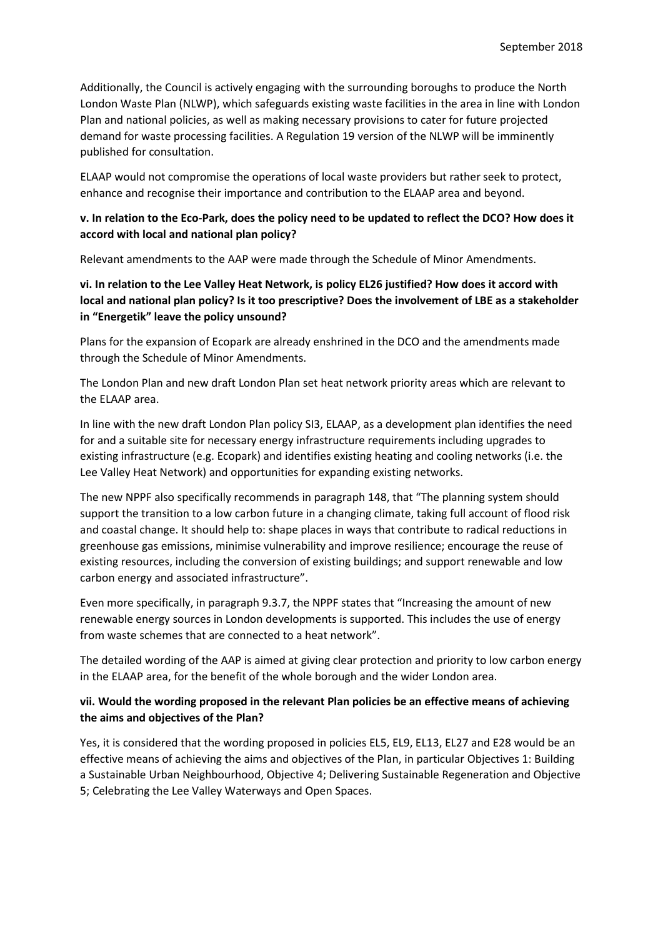Additionally, the Council is actively engaging with the surrounding boroughs to produce the North London Waste Plan (NLWP), which safeguards existing waste facilities in the area in line with London Plan and national policies, as well as making necessary provisions to cater for future projected demand for waste processing facilities. A Regulation 19 version of the NLWP will be imminently published for consultation.

ELAAP would not compromise the operations of local waste providers but rather seek to protect, enhance and recognise their importance and contribution to the ELAAP area and beyond.

### **v. In relation to the Eco-Park, does the policy need to be updated to reflect the DCO? How does it accord with local and national plan policy?**

Relevant amendments to the AAP were made through the Schedule of Minor Amendments.

### **vi. In relation to the Lee Valley Heat Network, is policy EL26 justified? How does it accord with local and national plan policy? Is it too prescriptive? Does the involvement of LBE as a stakeholder in "Energetik" leave the policy unsound?**

Plans for the expansion of Ecopark are already enshrined in the DCO and the amendments made through the Schedule of Minor Amendments.

The London Plan and new draft London Plan set heat network priority areas which are relevant to the ELAAP area.

In line with the new draft London Plan policy SI3, ELAAP, as a development plan identifies the need for and a suitable site for necessary energy infrastructure requirements including upgrades to existing infrastructure (e.g. Ecopark) and identifies existing heating and cooling networks (i.e. the Lee Valley Heat Network) and opportunities for expanding existing networks.

The new NPPF also specifically recommends in paragraph 148, that "The planning system should support the transition to a low carbon future in a changing climate, taking full account of flood risk and coastal change. It should help to: shape places in ways that contribute to radical reductions in greenhouse gas emissions, minimise vulnerability and improve resilience; encourage the reuse of existing resources, including the conversion of existing buildings; and support renewable and low carbon energy and associated infrastructure".

Even more specifically, in paragraph 9.3.7, the NPPF states that "Increasing the amount of new renewable energy sources in London developments is supported. This includes the use of energy from waste schemes that are connected to a heat network".

The detailed wording of the AAP is aimed at giving clear protection and priority to low carbon energy in the ELAAP area, for the benefit of the whole borough and the wider London area.

### **vii. Would the wording proposed in the relevant Plan policies be an effective means of achieving the aims and objectives of the Plan?**

Yes, it is considered that the wording proposed in policies EL5, EL9, EL13, EL27 and E28 would be an effective means of achieving the aims and objectives of the Plan, in particular Objectives 1: Building a Sustainable Urban Neighbourhood, Objective 4; Delivering Sustainable Regeneration and Objective 5; Celebrating the Lee Valley Waterways and Open Spaces.